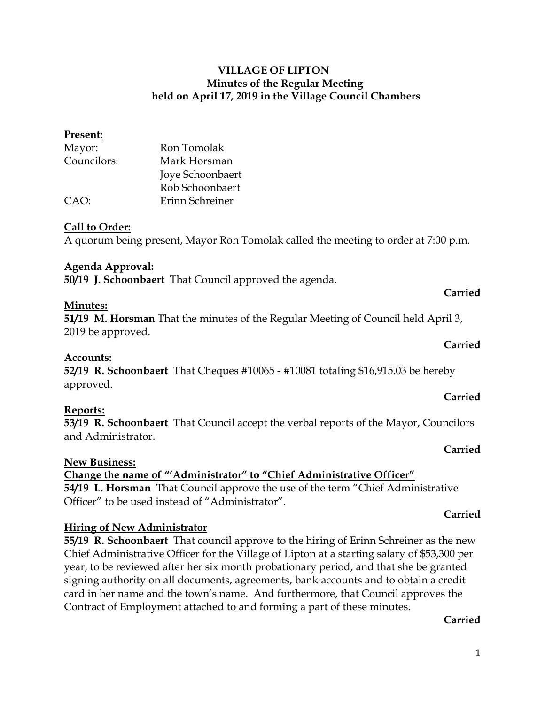## **VILLAGE OF LIPTON Minutes of the Regular Meeting held on April 17, 2019 in the Village Council Chambers**

# Mayor: Ron Tomolak Councilors: Mark Horsman Joye Schoonbaert Rob Schoonbaert CAO: Erinn Schreiner

## **Call to Order:**

**Present:**

A quorum being present, Mayor Ron Tomolak called the meeting to order at 7:00 p.m.

## **Agenda Approval:**

**50/19 J. Schoonbaert** That Council approved the agenda.

## **Minutes:**

**51/19 M. Horsman** That the minutes of the Regular Meeting of Council held April 3, 2019 be approved.

## **Accounts:**

**52/19 R. Schoonbaert** That Cheques #10065 - #10081 totaling \$16,915.03 be hereby approved.

## **Reports:**

**53/19 R. Schoonbaert** That Council accept the verbal reports of the Mayor, Councilors and Administrator.

#### **New Business:**

**Change the name of "'Administrator" to "Chief Administrative Officer" 54/19 L. Horsman** That Council approve the use of the term "Chief Administrative Officer" to be used instead of "Administrator".

## **Hiring of New Administrator**

**55/19 R. Schoonbaert** That council approve to the hiring of Erinn Schreiner as the new Chief Administrative Officer for the Village of Lipton at a starting salary of \$53,300 per year, to be reviewed after her six month probationary period, and that she be granted signing authority on all documents, agreements, bank accounts and to obtain a credit card in her name and the town's name. And furthermore, that Council approves the Contract of Employment attached to and forming a part of these minutes.

## **Carried**

#### 1

#### **Carried**

# **Carried**

**Carried**

**Carried**

**Carried**